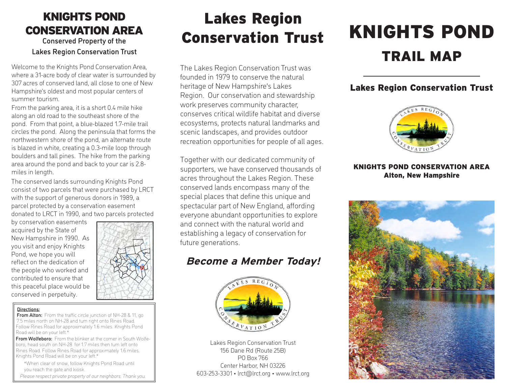## KNIGHTS POND CONSERVATION AREA

#### Conserved Property of the Lakes Region Conservation Trust

Welcome to the Knights Pond Conservation Area, where a 31-acre body of clear water is surrounded by 307 acres of conserved land, all close to one of New Hampshire's oldest and most popular centers of summer tourism.

From the parking area, it is a short 0.4 mile hike along an old road to the southeast shore of the pond. From that point, a blue-blazed 1.7-mile trail circles the pond. Along the peninsula that forms the northwestern shore of the pond, an alternate route is blazed in white, creating a 0.3-mile loop through boulders and tall pines. The hike from the parking area around the pond and back to your car is 2.8 miles in length.

The conserved lands surrounding Knights Pond consist of two parcels that were purchased by LRCT with the support of generous donors in 1989, a parcel protected by a conservation easement donated to LRCT in 1990, and two parcels protected

by conservation easements acquired by the State of New Hampshire in 1990. As you visit and enjoy Knights Pond, we hope you will reflect on the dedication of the people who worked and contributed to ensure that this peaceful place would be conserved in perpetuity.



#### Directions:

From Alton: From the traffic circle junction of NH-28 & 11, go 7.5 miles north on NH-28 and turn right onto Rines Road. Follow Rines Road for approximately 1.6 miles. Knights Pond Road will be on your left.\*

From Wolfeboro: From the blinker at the corner in South Wolfeboro, head south on NH-28 for 1.7 miles then turn left onto Rines Road. Follow Rines Road for approximately 1.6 miles. Knights Pond Road will be on your left.\*

\*When clear of snow, follow Knights Pond Road until you reach the gate and kiosk.

*Please respect private property of our neighbors. Thank you.*

## Lakes Region Conservation Trust

The Lakes Region Conservation Trust was founded in 1979 to conserve the natural heritage of New Hampshire's Lakes Region. Our conservation and stewardship work preserves community character, conserves critical wildlife habitat and diverse ecosystems, protects natural landmarks and scenic landscapes, and provides outdoor recreation opportunities for people of all ages.

Together with our dedicated community of supporters, we have conserved thousands of acres throughout the Lakes Region. These conserved lands encompass many of the special places that define this unique and spectacular part of New England, affording everyone abundant opportunities to explore and connect with the natural world and establishing a legacy of conservation for future generations.

## **Become a Member Today!**



Lakes Region Conservation Trust 156 Dane Rd (Route 25B) PO Box 766 Center Harbor, NH 03226 603-253-3301 • lrct@lrct.org • www.lrct.org

# KNIGHTS POND TRAIL MAP

### Lakes Region Conservation Trust



#### KNIGHTS POND CONSERVATION AREA Alton, New Hampshire